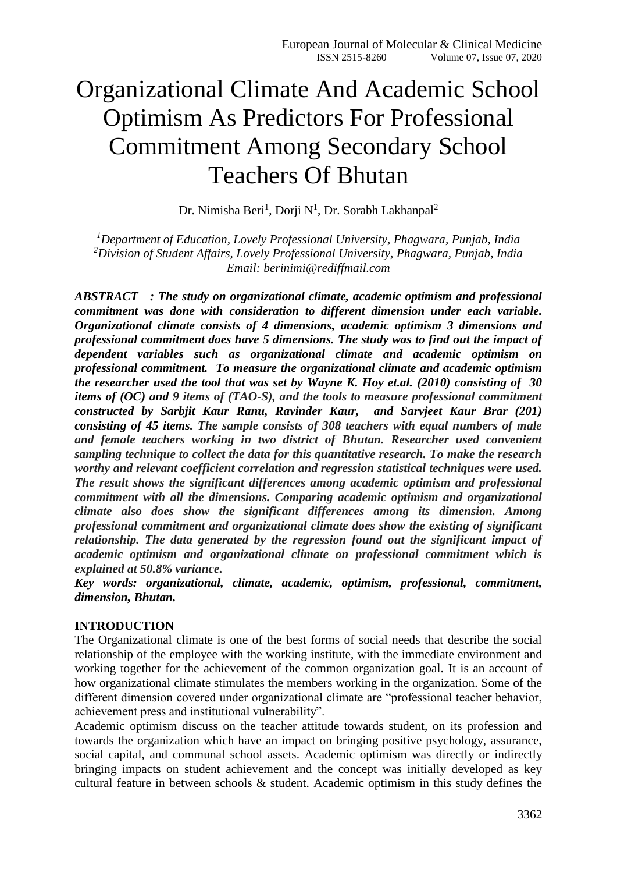# Organizational Climate And Academic School Optimism As Predictors For Professional Commitment Among Secondary School Teachers Of Bhutan

Dr. Nimisha Beri<sup>1</sup>, Dorji N<sup>1</sup>, Dr. Sorabh Lakhanpal<sup>2</sup>

*<sup>1</sup>Department of Education, Lovely Professional University, Phagwara, Punjab, India <sup>2</sup>Division of Student Affairs, Lovely Professional University, Phagwara, Punjab, India Email: berinimi@rediffmail.com*

*ABSTRACT : The study on organizational climate, academic optimism and professional commitment was done with consideration to different dimension under each variable. Organizational climate consists of 4 dimensions, academic optimism 3 dimensions and professional commitment does have 5 dimensions. The study was to find out the impact of dependent variables such as organizational climate and academic optimism on professional commitment. To measure the organizational climate and academic optimism the researcher used the tool that was set by Wayne K. Hoy et.al. (2010) consisting of 30 items of (OC) and 9 items of (TAO-S), and the tools to measure professional commitment constructed by Sarbjit Kaur Ranu, Ravinder Kaur, and Sarvjeet Kaur Brar (201) consisting of 45 items. The sample consists of 308 teachers with equal numbers of male and female teachers working in two district of Bhutan. Researcher used convenient sampling technique to collect the data for this quantitative research. To make the research worthy and relevant coefficient correlation and regression statistical techniques were used. The result shows the significant differences among academic optimism and professional commitment with all the dimensions. Comparing academic optimism and organizational climate also does show the significant differences among its dimension. Among professional commitment and organizational climate does show the existing of significant relationship. The data generated by the regression found out the significant impact of academic optimism and organizational climate on professional commitment which is explained at 50.8% variance.*

*Key words: organizational, climate, academic, optimism, professional, commitment, dimension, Bhutan.*

#### **INTRODUCTION**

The Organizational climate is one of the best forms of social needs that describe the social relationship of the employee with the working institute, with the immediate environment and working together for the achievement of the common organization goal. It is an account of how organizational climate stimulates the members working in the organization. Some of the different dimension covered under organizational climate are "professional teacher behavior, achievement press and institutional vulnerability".

Academic optimism discuss on the teacher attitude towards student, on its profession and towards the organization which have an impact on bringing positive psychology, assurance, social capital, and communal school assets. Academic optimism was directly or indirectly bringing impacts on student achievement and the concept was initially developed as key cultural feature in between schools & student. Academic optimism in this study defines the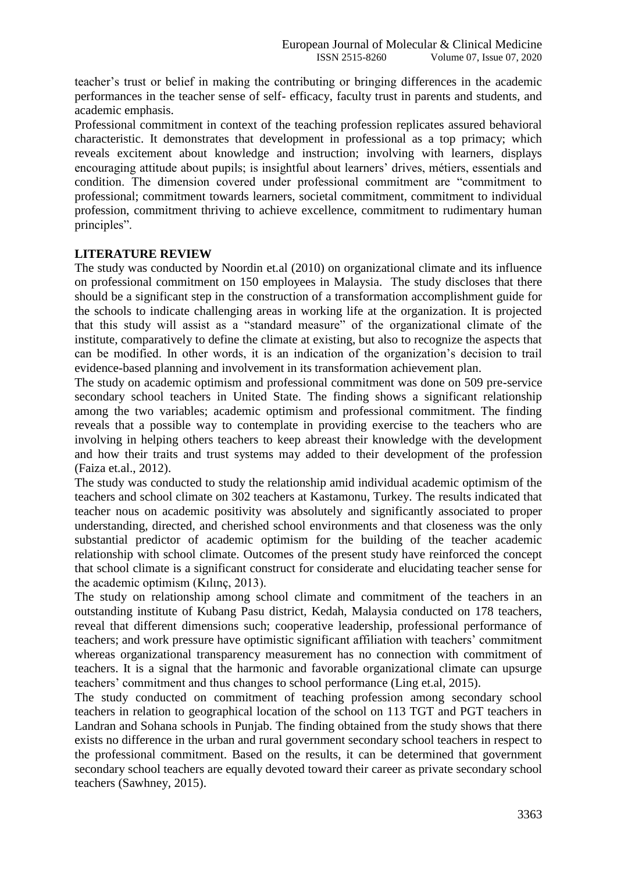teacher's trust or belief in making the contributing or bringing differences in the academic performances in the teacher sense of self- efficacy, faculty trust in parents and students, and academic emphasis.

Professional commitment in context of the teaching profession replicates assured behavioral characteristic. It demonstrates that development in professional as a top primacy; which reveals excitement about knowledge and instruction; involving with learners, displays encouraging attitude about pupils; is insightful about learners' drives, métiers, essentials and condition. The dimension covered under professional commitment are "commitment to professional; commitment towards learners, societal commitment, commitment to individual profession, commitment thriving to achieve excellence, commitment to rudimentary human principles".

# **LITERATURE REVIEW**

The study was conducted by Noordin et.al (2010) on organizational climate and its influence on professional commitment on 150 employees in Malaysia. The study discloses that there should be a significant step in the construction of a transformation accomplishment guide for the schools to indicate challenging areas in working life at the organization. It is projected that this study will assist as a "standard measure" of the organizational climate of the institute, comparatively to define the climate at existing, but also to recognize the aspects that can be modified. In other words, it is an indication of the organization's decision to trail evidence-based planning and involvement in its transformation achievement plan.

The study on academic optimism and professional commitment was done on 509 pre-service secondary school teachers in United State. The finding shows a significant relationship among the two variables; academic optimism and professional commitment. The finding reveals that a possible way to contemplate in providing exercise to the teachers who are involving in helping others teachers to keep abreast their knowledge with the development and how their traits and trust systems may added to their development of the profession (Faiza et.al., 2012).

The study was conducted to study the relationship amid individual academic optimism of the teachers and school climate on 302 teachers at Kastamonu, Turkey. The results indicated that teacher nous on academic positivity was absolutely and significantly associated to proper understanding, directed, and cherished school environments and that closeness was the only substantial predictor of academic optimism for the building of the teacher academic relationship with school climate. Outcomes of the present study have reinforced the concept that school climate is a significant construct for considerate and elucidating teacher sense for the academic optimism (Kılınç, 2013).

The study on relationship among school climate and commitment of the teachers in an outstanding institute of Kubang Pasu district, Kedah, Malaysia conducted on 178 teachers, reveal that different dimensions such; cooperative leadership, professional performance of teachers; and work pressure have optimistic significant affiliation with teachers' commitment whereas organizational transparency measurement has no connection with commitment of teachers. It is a signal that the harmonic and favorable organizational climate can upsurge teachers' commitment and thus changes to school performance (Ling et.al, 2015).

The study conducted on commitment of teaching profession among secondary school teachers in relation to geographical location of the school on 113 TGT and PGT teachers in Landran and Sohana schools in Punjab. The finding obtained from the study shows that there exists no difference in the urban and rural government secondary school teachers in respect to the professional commitment. Based on the results, it can be determined that government secondary school teachers are equally devoted toward their career as private secondary school teachers (Sawhney, 2015).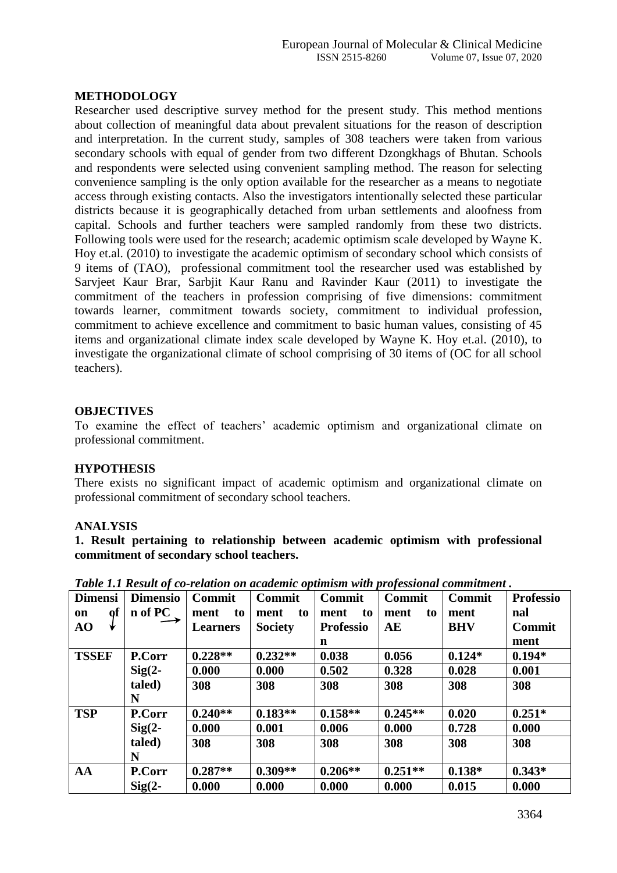#### **METHODOLOGY**

Researcher used descriptive survey method for the present study. This method mentions about collection of meaningful data about prevalent situations for the reason of description and interpretation. In the current study, samples of 308 teachers were taken from various secondary schools with equal of gender from two different Dzongkhags of Bhutan. Schools and respondents were selected using convenient sampling method. The reason for selecting convenience sampling is the only option available for the researcher as a means to negotiate access through existing contacts. Also the investigators intentionally selected these particular districts because it is geographically detached from urban settlements and aloofness from capital. Schools and further teachers were sampled randomly from these two districts. Following tools were used for the research; academic optimism scale developed by Wayne K. Hoy et.al. (2010) to investigate the academic optimism of secondary school which consists of 9 items of (TAO), professional commitment tool the researcher used was established by Sarvjeet Kaur Brar, Sarbjit Kaur Ranu and Ravinder Kaur (2011) to investigate the commitment of the teachers in profession comprising of five dimensions: commitment towards learner, commitment towards society, commitment to individual profession, commitment to achieve excellence and commitment to basic human values, consisting of 45 items and organizational climate index scale developed by Wayne K. Hoy et.al. (2010), to investigate the organizational climate of school comprising of 30 items of (OC for all school teachers).

#### **OBJECTIVES**

To examine the effect of teachers' academic optimism and organizational climate on professional commitment.

#### **HYPOTHESIS**

There exists no significant impact of academic optimism and organizational climate on professional commitment of secondary school teachers.

#### **ANALYSIS**

**1. Result pertaining to relationship between academic optimism with professional commitment of secondary school teachers.** 

| <b>Dimensi</b> | <b>Dimensio</b> | <b>Commit</b>   | ∼r∙<br><b>Commit</b> | <b>Commit</b>    | $F - 9$<br><b>Commit</b> | <b>Commit</b> | <b>Professio</b> |
|----------------|-----------------|-----------------|----------------------|------------------|--------------------------|---------------|------------------|
| Qľ<br>on       | n of PC         | ment<br>to      | ment<br>to           | ment<br>to       | to<br>ment               | ment          | nal              |
| AO<br>₩        |                 | <b>Learners</b> | <b>Society</b>       | <b>Professio</b> | AE                       | <b>BHV</b>    | <b>Commit</b>    |
|                |                 |                 |                      | $\mathbf n$      |                          |               | ment             |
| <b>TSSEF</b>   | <b>P.Corr</b>   | $0.228**$       | $0.232**$            | 0.038            | 0.056                    | $0.124*$      | $0.194*$         |
|                | $Sig(2-$        | 0.000           | 0.000                | 0.502            | 0.328                    | 0.028         | 0.001            |
|                | taled)          | 308             | 308                  | 308              | 308                      | 308           | 308              |
|                | N               |                 |                      |                  |                          |               |                  |
| <b>TSP</b>     | P.Corr          | $0.240**$       | $0.183**$            | $0.158**$        | $0.245**$                | 0.020         | $0.251*$         |
|                | $Sig(2-$        | 0.000           | 0.001                | 0.006            | 0.000                    | 0.728         | 0.000            |
|                | taled)          | 308             | 308                  | 308              | 308                      | 308           | 308              |
|                | N               |                 |                      |                  |                          |               |                  |
| AA             | <b>P.Corr</b>   | $0.287**$       | $0.309**$            | $0.206**$        | $0.251**$                | $0.138*$      | $0.343*$         |
|                | $Sig(2 -$       | 0.000           | 0.000                | 0.000            | 0.000                    | 0.015         | 0.000            |

*Table 1.1 Result of co-relation on academic optimism with professional commitment .*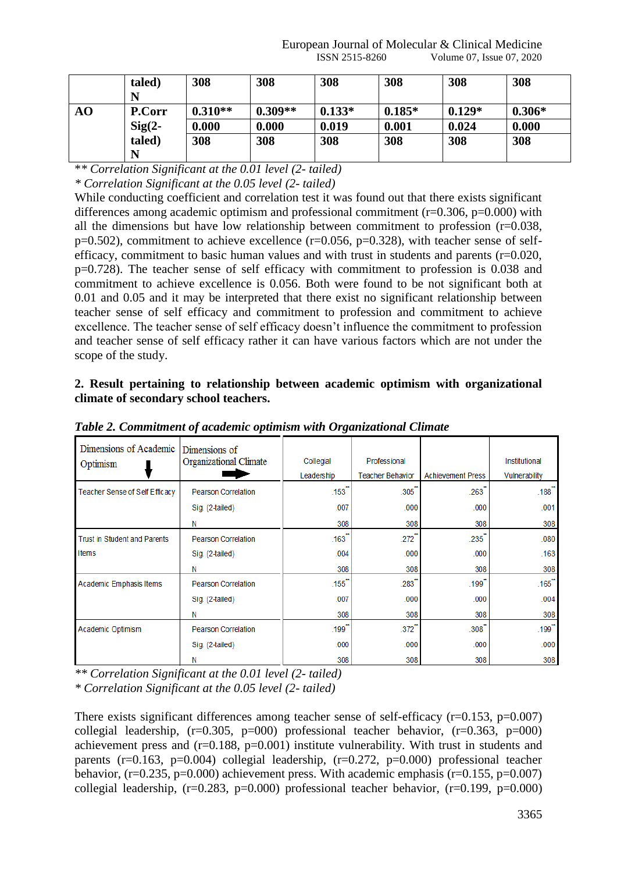|    | taled)        | 308       | 308       | 308      | 308      | 308      | 308      |
|----|---------------|-----------|-----------|----------|----------|----------|----------|
|    |               |           |           |          |          |          |          |
| AO | <b>P.Corr</b> | $0.310**$ | $0.309**$ | $0.133*$ | $0.185*$ | $0.129*$ | $0.306*$ |
|    | $Sig(2-$      | 0.000     | 0.000     | 0.019    | 0.001    | 0.024    | 0.000    |
|    | taled)        | 308       | 308       | 308      | 308      | 308      | 308      |
|    |               |           |           |          |          |          |          |

\**\* Correlation Significant at the 0.01 level (2- tailed)*

*\* Correlation Significant at the 0.05 level (2- tailed)*

While conducting coefficient and correlation test it was found out that there exists significant differences among academic optimism and professional commitment ( $r=0.306$ ,  $p=0.000$ ) with all the dimensions but have low relationship between commitment to profession  $(r=0.038,$  $p=0.502$ ), commitment to achieve excellence ( $r=0.056$ ,  $p=0.328$ ), with teacher sense of selfefficacy, commitment to basic human values and with trust in students and parents  $(r=0.020, r=0.020)$ p=0.728). The teacher sense of self efficacy with commitment to profession is 0.038 and commitment to achieve excellence is 0.056. Both were found to be not significant both at 0.01 and 0.05 and it may be interpreted that there exist no significant relationship between teacher sense of self efficacy and commitment to profession and commitment to achieve excellence. The teacher sense of self efficacy doesn't influence the commitment to profession and teacher sense of self efficacy rather it can have various factors which are not under the scope of the study.

**2. Result pertaining to relationship between academic optimism with organizational climate of secondary school teachers.** 

| Dimensions of Academic              | Dimensions of              |                     |                         |                          |                      |
|-------------------------------------|----------------------------|---------------------|-------------------------|--------------------------|----------------------|
| Optimism                            | Organizational Climate     | Collegial           | Professional            |                          | Institutional        |
|                                     |                            | Leadership          | <b>Teacher Behavior</b> | <b>Achievement Press</b> | Vulnerability        |
| Teacher Sense of Self Efficacy      | <b>Pearson Correlation</b> | .153                | $.305$ <sup>"</sup>     | .263                     | .188                 |
|                                     | Sig. (2-tailed)            | .007                | .000                    | .000                     | .001                 |
|                                     | Ν                          | 308                 | 308                     | 308                      | 308                  |
| <b>Trust in Student and Parents</b> | <b>Pearson Correlation</b> | .163                | .272                    | $.235$ <sup>-</sup>      | .080                 |
| Items                               | Sig. (2-tailed)            | .004                | .000                    | .000                     | .163                 |
|                                     | Ν                          | 308                 | 308                     | 308                      | 308                  |
| Academic Emphasis Items             | <b>Pearson Correlation</b> | .155                | .283                    | $.199$ <sup>-</sup>      | .165                 |
|                                     | Sig. (2-tailed)            | .007                | .000                    | .000                     | .004                 |
|                                     | Ν                          | 308                 | 308                     | 308                      | 308                  |
| Academic Optimism                   | <b>Pearson Correlation</b> | $.199$ <sup>*</sup> | .372                    | $.308^{-}$               | $.199$ <sup>**</sup> |
|                                     | Sig. (2-tailed)            | .000                | .000                    | .000                     | .000                 |
|                                     | Ν                          | 308                 | 308                     | 308                      | 308                  |

*Table 2. Commitment of academic optimism with Organizational Climate*

*\*\* Correlation Significant at the 0.01 level (2- tailed) \* Correlation Significant at the 0.05 level (2- tailed)*

There exists significant differences among teacher sense of self-efficacy  $(r=0.153, p=0.007)$ collegial leadership,  $(r=0.305, p=000)$  professional teacher behavior,  $(r=0.363, p=000)$ achievement press and  $(r=0.188, p=0.001)$  institute vulnerability. With trust in students and parents ( $r=0.163$ ,  $p=0.004$ ) collegial leadership, ( $r=0.272$ ,  $p=0.000$ ) professional teacher behavior,  $(r=0.235, p=0.000)$  achievement press. With academic emphasis  $(r=0.155, p=0.007)$ collegial leadership,  $(r=0.283, p=0.000)$  professional teacher behavior,  $(r=0.199, p=0.000)$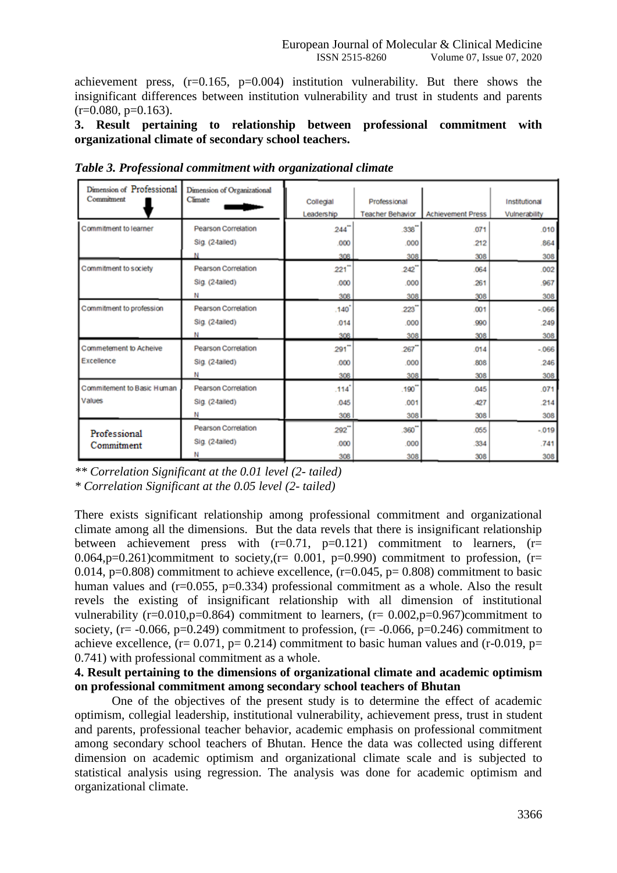achievement press,  $(r=0.165, p=0.004)$  institution vulnerability. But there shows the insignificant differences between institution vulnerability and trust in students and parents  $(r=0.080, p=0.163)$ .

#### **3. Result pertaining to relationship between professional commitment with organizational climate of secondary school teachers.**

| Dimension of Professional<br>Commitment | Dimension of Organizational<br>Climate | Collegial           | Professional            |                          | Institutional |
|-----------------------------------------|----------------------------------------|---------------------|-------------------------|--------------------------|---------------|
|                                         |                                        | Leadership          | <b>Teacher Behavior</b> | <b>Achievement Press</b> | Vulnerability |
| Commitment to learner                   | Pearson Correlation                    | 244                 | .338''                  | 071                      | .010          |
|                                         | Sig. (2-tailed)                        | .000                | .000                    | 212                      | 864           |
|                                         |                                        | 308                 | 308                     | 308                      | 308           |
| Commitment to society                   | <b>Pearson Correlation</b>             | 221                 | 242"                    | .064                     | .002          |
|                                         | Sig. (2-tailed)                        | .000                | .000                    | 261                      | 967           |
|                                         | Ν                                      | 308                 | 308                     | 308                      | 308           |
| Commitment to profession                | <b>Pearson Correlation</b>             | .140                | 223                     | .001                     | $-066$        |
|                                         | Sig. (2-tailed)                        | .014                | .000                    | .990                     | 249           |
|                                         |                                        | 308                 | 308                     | 308                      | 308           |
| Commetement to Acheive                  | <b>Pearson Correlation</b>             | 291                 | 267                     | 014                      | $-066$        |
| Excellence                              | Sig. (2-tailed)                        | .000                | .000                    | .808                     | 246           |
|                                         | N                                      | 308                 | 308                     | 308                      | 308           |
| Commitement to Basic Human              | <b>Pearson Correlation</b>             | $.114$ <sup>*</sup> | .190''                  | .045                     | .071          |
| Values                                  | Sig. (2-tailed)                        | .045                | .001                    | 427                      | 214           |
|                                         | Ν                                      | 308                 | 308                     | 308                      | 308           |
| Professional                            | <b>Pearson Correlation</b>             | 292                 | 360"                    | .055                     | $-019$        |
| Commitment                              | Sig. (2-tailed)                        | .000                | .000                    | .334                     | .741          |
|                                         | Ν                                      | 308                 | 308                     | 308                      | 308           |

*Table 3. Professional commitment with organizational climate*

*\*\* Correlation Significant at the 0.01 level (2- tailed)*

*\* Correlation Significant at the 0.05 level (2- tailed)*

There exists significant relationship among professional commitment and organizational climate among all the dimensions. But the data revels that there is insignificant relationship between achievement press with  $(r=0.71, p=0.121)$  commitment to learners,  $(r=$ 0.064,p=0.261)commitment to society, $(r= 0.001, p=0.990)$  commitment to profession,  $(r=$ 0.014, p=0.808) commitment to achieve excellence,  $(r=0.045, p= 0.808)$  commitment to basic human values and  $(r=0.055, p=0.334)$  professional commitment as a whole. Also the result revels the existing of insignificant relationship with all dimension of institutional vulnerability ( $r=0.010$ , $p=0.864$ ) commitment to learners, ( $r=0.002$ , $p=0.967$ )commitment to society, ( $r = -0.066$ ,  $p=0.249$ ) commitment to profession, ( $r = -0.066$ ,  $p=0.246$ ) commitment to achieve excellence,  $(r= 0.071, p= 0.214)$  commitment to basic human values and  $(r=0.019, p=$ 0.741) with professional commitment as a whole.

#### **4. Result pertaining to the dimensions of organizational climate and academic optimism on professional commitment among secondary school teachers of Bhutan**

One of the objectives of the present study is to determine the effect of academic optimism, collegial leadership, institutional vulnerability, achievement press, trust in student and parents, professional teacher behavior, academic emphasis on professional commitment among secondary school teachers of Bhutan. Hence the data was collected using different dimension on academic optimism and organizational climate scale and is subjected to statistical analysis using regression. The analysis was done for academic optimism and organizational climate.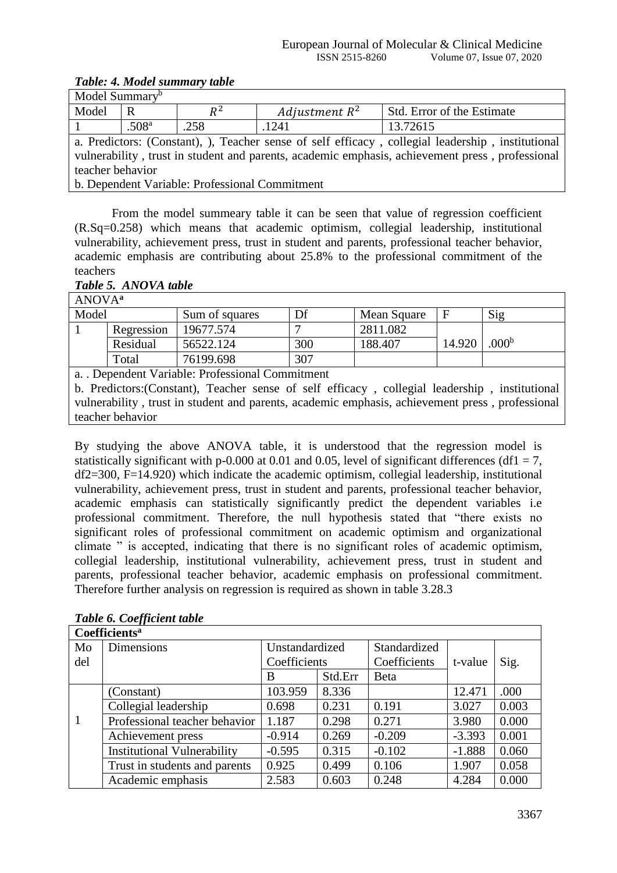# *Table: 4. Model summary table*

| Model Summary <sup>b</sup>                                                                        |                   |       |                  |                            |  |  |  |  |
|---------------------------------------------------------------------------------------------------|-------------------|-------|------------------|----------------------------|--|--|--|--|
| Model                                                                                             | R                 | $R^2$ | Adjustment $R^2$ | Std. Error of the Estimate |  |  |  |  |
|                                                                                                   | .508 <sup>a</sup> | .258  | .1241            | 13.72615                   |  |  |  |  |
| a. Predictors: (Constant), ), Teacher sense of self efficacy, collegial leadership, institutional |                   |       |                  |                            |  |  |  |  |
| vulnerability, trust in student and parents, academic emphasis, achievement press, professional   |                   |       |                  |                            |  |  |  |  |
| teacher behavior                                                                                  |                   |       |                  |                            |  |  |  |  |
| b. Dependent Variable: Professional Commitment                                                    |                   |       |                  |                            |  |  |  |  |

From the model summeary table it can be seen that value of regression coefficient (R.Sq=0.258) which means that academic optimism, collegial leadership, institutional vulnerability, achievement press, trust in student and parents, professional teacher behavior, academic emphasis are contributing about 25.8% to the professional commitment of the teachers *Table 5. ANOVA table*

| ANOVA <sup>a</sup> |            |                                                                             |     |             |        |                   |
|--------------------|------------|-----------------------------------------------------------------------------|-----|-------------|--------|-------------------|
| Model              |            | Sum of squares                                                              | Df  | Mean Square |        | Sig               |
|                    | Regression | 19677.574                                                                   |     | 2811.082    |        |                   |
|                    | Residual   | 56522.124                                                                   | 300 | 188.407     | 14.920 | .000 <sup>b</sup> |
|                    | Total      | 76199.698                                                                   | 307 |             |        |                   |
|                    |            | a. . Dependent Variable: Professional Commitment                            |     |             |        |                   |
|                    |            | b Predictors: Constant) Teacher sense of self efficacy collegial leadership |     |             |        | institutional     |

b. Predictors:(Constant), Teacher sense of self efficacy , collegial leadership , institutional vulnerability , trust in student and parents, academic emphasis, achievement press , professional teacher behavior

By studying the above ANOVA table, it is understood that the regression model is statistically significant with p-0.000 at 0.01 and 0.05, level of significant differences (df1 = 7, df2=300, F=14.920) which indicate the academic optimism, collegial leadership, institutional vulnerability, achievement press, trust in student and parents, professional teacher behavior, academic emphasis can statistically significantly predict the dependent variables i.e professional commitment. Therefore, the null hypothesis stated that "there exists no significant roles of professional commitment on academic optimism and organizational climate " is accepted, indicating that there is no significant roles of academic optimism, collegial leadership, institutional vulnerability, achievement press, trust in student and parents, professional teacher behavior, academic emphasis on professional commitment. Therefore further analysis on regression is required as shown in table 3.28.3

|     | <b>Coefficients<sup>a</sup></b>    |                |         |              |          |       |  |  |  |
|-----|------------------------------------|----------------|---------|--------------|----------|-------|--|--|--|
| Mo  | <b>Dimensions</b>                  | Unstandardized |         | Standardized |          |       |  |  |  |
| del |                                    | Coefficients   |         | Coefficients | t-value  | Sig.  |  |  |  |
|     |                                    | B              | Std.Err | Beta         |          |       |  |  |  |
|     | (Constant)                         | 103.959        | 8.336   |              | 12.471   | .000  |  |  |  |
|     | Collegial leadership               | 0.698          | 0.231   | 0.191        | 3.027    | 0.003 |  |  |  |
| 1   | Professional teacher behavior      | 1.187          | 0.298   | 0.271        | 3.980    | 0.000 |  |  |  |
|     | Achievement press                  | $-0.914$       | 0.269   | $-0.209$     | $-3.393$ | 0.001 |  |  |  |
|     | <b>Institutional Vulnerability</b> | $-0.595$       | 0.315   | $-0.102$     | $-1.888$ | 0.060 |  |  |  |
|     | Trust in students and parents      | 0.925          | 0.499   | 0.106        | 1.907    | 0.058 |  |  |  |
|     | Academic emphasis                  | 2.583          | 0.603   | 0.248        | 4.284    | 0.000 |  |  |  |

# *Table 6. Coefficient table*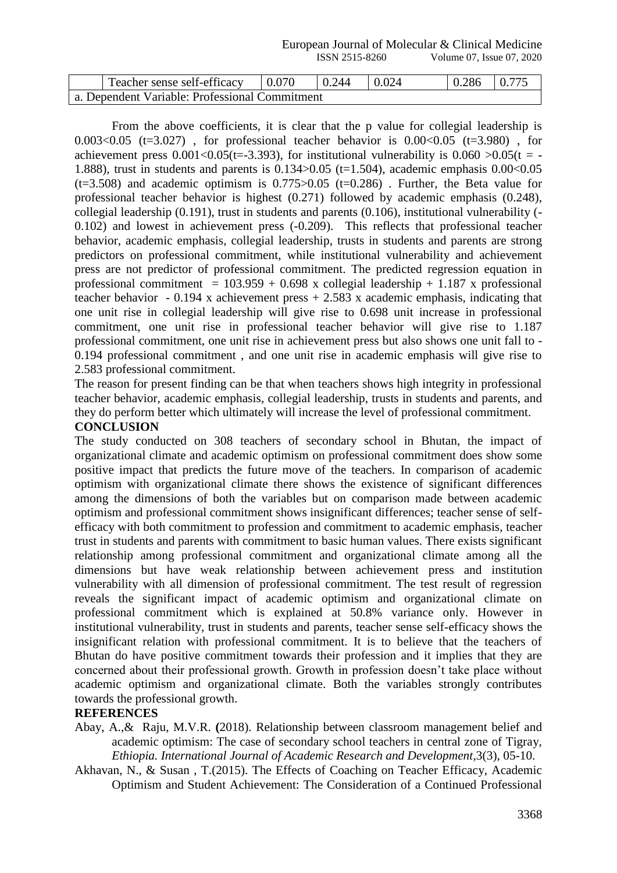European Journal of Molecular & Clinical Medicine ISSN 2515-8260 Volume 07, Issue 07, 2020

| Teacher sense self-efficacy                    | 0.070 | $\mid 0.244$ | 0.024 | $\vert 0.286 \vert 0.775 \vert$ |  |
|------------------------------------------------|-------|--------------|-------|---------------------------------|--|
| a. Dependent Variable: Professional Commitment |       |              |       |                                 |  |

From the above coefficients, it is clear that the p value for collegial leadership is 0.003<0.05 (t=3.027), for professional teacher behavior is  $0.00<0.05$  (t=3.980), for achievement press  $0.001 \lt 0.05$  (t=-3.393), for institutional vulnerability is  $0.060 > 0.05$  (t = -1.888), trust in students and parents is  $0.134 > 0.05$  (t=1.504), academic emphasis  $0.00 < 0.05$  $(t=3.508)$  and academic optimism is  $0.775 > 0.05$   $(t=0.286)$ . Further, the Beta value for professional teacher behavior is highest (0.271) followed by academic emphasis (0.248), collegial leadership (0.191), trust in students and parents (0.106), institutional vulnerability (- 0.102) and lowest in achievement press (-0.209). This reflects that professional teacher behavior, academic emphasis, collegial leadership, trusts in students and parents are strong predictors on professional commitment, while institutional vulnerability and achievement press are not predictor of professional commitment. The predicted regression equation in professional commitment =  $103.959 + 0.698$  x collegial leadership + 1.187 x professional teacher behavior - 0.194 x achievement press  $+ 2.583$  x academic emphasis, indicating that one unit rise in collegial leadership will give rise to 0.698 unit increase in professional commitment, one unit rise in professional teacher behavior will give rise to 1.187 professional commitment, one unit rise in achievement press but also shows one unit fall to - 0.194 professional commitment , and one unit rise in academic emphasis will give rise to 2.583 professional commitment.

The reason for present finding can be that when teachers shows high integrity in professional teacher behavior, academic emphasis, collegial leadership, trusts in students and parents, and they do perform better which ultimately will increase the level of professional commitment.

# **CONCLUSION**

The study conducted on 308 teachers of secondary school in Bhutan, the impact of organizational climate and academic optimism on professional commitment does show some positive impact that predicts the future move of the teachers. In comparison of academic optimism with organizational climate there shows the existence of significant differences among the dimensions of both the variables but on comparison made between academic optimism and professional commitment shows insignificant differences; teacher sense of selfefficacy with both commitment to profession and commitment to academic emphasis, teacher trust in students and parents with commitment to basic human values. There exists significant relationship among professional commitment and organizational climate among all the dimensions but have weak relationship between achievement press and institution vulnerability with all dimension of professional commitment. The test result of regression reveals the significant impact of academic optimism and organizational climate on professional commitment which is explained at 50.8% variance only. However in institutional vulnerability, trust in students and parents, teacher sense self-efficacy shows the insignificant relation with professional commitment. It is to believe that the teachers of Bhutan do have positive commitment towards their profession and it implies that they are concerned about their professional growth. Growth in profession doesn't take place without academic optimism and organizational climate. Both the variables strongly contributes towards the professional growth.

#### **REFERENCES**

Abay, A.,& Raju, M.V.R. **(**2018). Relationship between classroom management belief and academic optimism: The case of secondary school teachers in central zone of Tigray, *Ethiopia. International Journal of Academic Research and Development*,3(3), 05-10.

Akhavan, N., & Susan , T.(2015). The Effects of Coaching on Teacher Efficacy, Academic Optimism and Student Achievement: The Consideration of a Continued Professional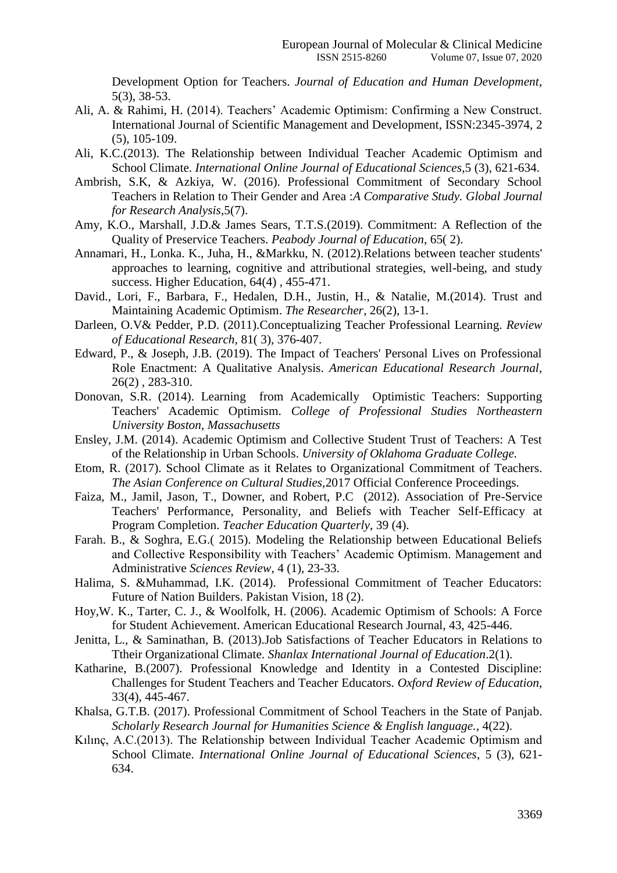Development Option for Teachers. *Journal of Education and Human Development*, 5(3), 38-53.

- Ali, A. & Rahimi, H. (2014). Teachers' Academic Optimism: Confirming a New Construct. International Journal of Scientific Management and Development, ISSN:2345-3974, 2 (5), 105-109.
- Ali, K.C.(2013). The Relationship between Individual Teacher Academic Optimism and School Climate. *International Online Journal of Educational Sciences*,5 (3), 621-634.
- Ambrish, S.K, & Azkiya, W. (2016). Professional Commitment of Secondary School Teachers in Relation to Their Gender and Area :*A Comparative Study. Global Journal for Research Analysis*,5(7).
- Amy, K.O., Marshall, J.D.& James Sears, T.T.S.(2019). Commitment: A Reflection of the Quality of Preservice Teachers. *Peabody Journal of Education*, 65( 2).
- Annamari, H., Lonka. K., Juha, H., &Markku, N. (2012).Relations between teacher students' approaches to learning, cognitive and attributional strategies, well-being, and study success. Higher Education, 64(4) , 455-471.
- David., Lori, F., Barbara, F., Hedalen, D.H., Justin, H., & Natalie, M.(2014). Trust and Maintaining Academic Optimism. *The Researcher*, 26(2), 13-1.
- Darleen, O.V& Pedder, P.D. (2011).Conceptualizing Teacher Professional Learning. *Review of Educational Research*, 81( 3), 376-407.
- Edward, P., & Joseph, J.B. (2019). The Impact of Teachers' Personal Lives on Professional Role Enactment: A Qualitative Analysis. *American Educational Research Journal*, 26(2) , 283-310.
- Donovan, S.R. (2014). Learning from Academically Optimistic Teachers: Supporting Teachers' Academic Optimism. *College of Professional Studies Northeastern University Boston, Massachusetts*
- Ensley, J.M. (2014). Academic Optimism and Collective Student Trust of Teachers: A Test of the Relationship in Urban Schools. *University of Oklahoma Graduate College.*
- Etom, R. (2017). School Climate as it Relates to Organizational Commitment of Teachers. *The Asian Conference on Cultural Studies,*2017 Official Conference Proceedings.
- Faiza, M., Jamil, Jason, T., Downer, and Robert, P.C (2012). Association of Pre-Service Teachers' Performance, Personality, and Beliefs with Teacher Self-Efficacy at Program Completion. *Teacher Education Quarterly*, 39 (4).
- Farah. B., & Soghra, E.G.( 2015). Modeling the Relationship between Educational Beliefs and Collective Responsibility with Teachers' Academic Optimism. Management and Administrative *Sciences Review*, 4 (1), 23-33.
- Halima, S. &Muhammad, I.K. (2014). Professional Commitment of Teacher Educators: Future of Nation Builders. Pakistan Vision, 18 (2).
- Hoy,W. K., Tarter, C. J., & Woolfolk, H. (2006). Academic Optimism of Schools: A Force for Student Achievement. American Educational Research Journal, 43, 425-446.
- Jenitta, L., & Saminathan, B. (2013).Job Satisfactions of Teacher Educators in Relations to Ttheir Organizational Climate. *Shanlax International Journal of Education*.2(1).
- Katharine, B.(2007). Professional Knowledge and Identity in a Contested Discipline: Challenges for Student Teachers and Teacher Educators. *Oxford Review of Education*, 33(4), 445-467.
- Khalsa, G.T.B. (2017). Professional Commitment of School Teachers in the State of Panjab. *Scholarly Research Journal for Humanities Science & English language.*, 4(22).
- Kılınç, A.C.(2013). The Relationship between Individual Teacher Academic Optimism and School Climate. *International Online Journal of Educational Sciences*, 5 (3), 621- 634.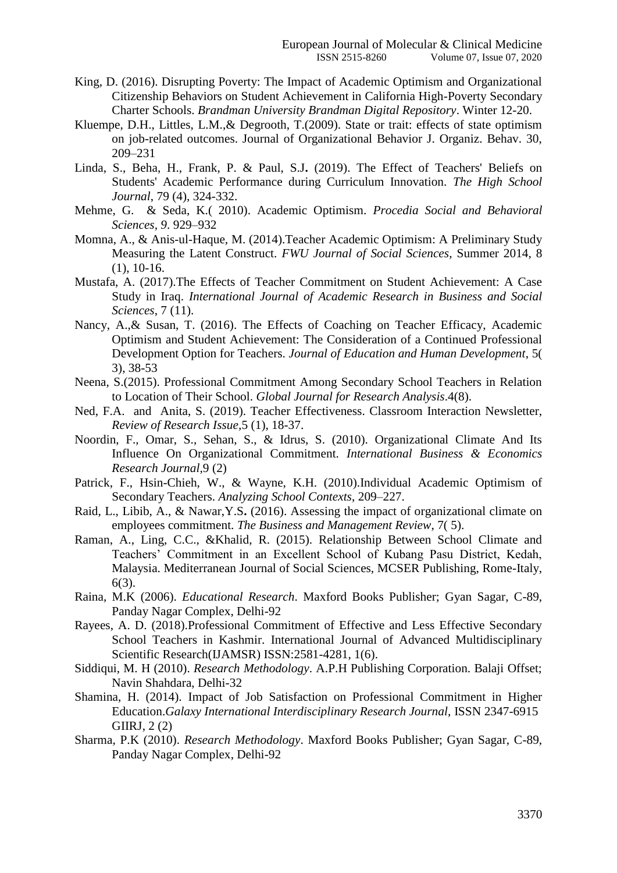- King, D. (2016). Disrupting Poverty: The Impact of Academic Optimism and Organizational Citizenship Behaviors on Student Achievement in California High-Poverty Secondary Charter Schools. *Brandman University Brandman Digital Repository*. Winter 12-20.
- Kluempe, D.H., Littles, L.M.,& Degrooth, T.(2009). State or trait: effects of state optimism on job-related outcomes. Journal of Organizational Behavior J. Organiz. Behav. 30, 209–231
- Linda, S., Beha, H., Frank, P. & Paul, S.J**.** (2019). The Effect of Teachers' Beliefs on Students' Academic Performance during Curriculum Innovation. *The High School Journal*, 79 (4), 324-332.
- Mehme, G. & Seda, K.( 2010). Academic Optimism. *Procedia Social and Behavioral Sciences, 9*. 929–932
- Momna, A., & Anis-ul-Haque, M. (2014).Teacher Academic Optimism: A Preliminary Study Measuring the Latent Construct. *FWU Journal of Social Sciences*, Summer 2014, 8 (1), 10-16.
- Mustafa, A. (2017).The Effects of Teacher Commitment on Student Achievement: A Case Study in Iraq. *International Journal of Academic Research in Business and Social Sciences*, 7 (11).
- Nancy, A.,& Susan, T. (2016). The Effects of Coaching on Teacher Efficacy, Academic Optimism and Student Achievement: The Consideration of a Continued Professional Development Option for Teachers. *Journal of Education and Human Development*, 5( 3), 38-53
- Neena, S.(2015). Professional Commitment Among Secondary School Teachers in Relation to Location of Their School. *Global Journal for Research Analysis*.4(8).
- Ned, F.A. and Anita, S. (2019). Teacher Effectiveness. Classroom Interaction Newsletter, *Review of Research Issue,*5 (1), 18-37.
- Noordin, F., Omar, S., Sehan, S., & Idrus, S. (2010). Organizational Climate And Its Influence On Organizational Commitment. *International Business & Economics Research Journal,*9 (2)
- Patrick, F., Hsin-Chieh, W., & Wayne, K.H. (2010).Individual Academic Optimism of Secondary Teachers. *Analyzing School Contexts*, 209–227.
- Raid, L., Libib, A., & Nawar,Y.S**.** (2016). Assessing the impact of organizational climate on employees commitment. *The Business and Management Review*, 7( 5).
- Raman, A., Ling, C.C., &Khalid, R. (2015). Relationship Between School Climate and Teachers' Commitment in an Excellent School of Kubang Pasu District, Kedah, Malaysia. Mediterranean Journal of Social Sciences, MCSER Publishing, Rome-Italy, 6(3).
- Raina, M.K (2006). *Educational Research*. Maxford Books Publisher; Gyan Sagar, C-89, Panday Nagar Complex, Delhi-92
- Rayees, A. D. (2018).Professional Commitment of Effective and Less Effective Secondary School Teachers in Kashmir. International Journal of Advanced Multidisciplinary Scientific Research(IJAMSR) ISSN:2581-4281, 1(6).
- Siddiqui, M. H (2010). *Research Methodology*. A.P.H Publishing Corporation. Balaji Offset; Navin Shahdara, Delhi-32
- Shamina, H. (2014). Impact of Job Satisfaction on Professional Commitment in Higher Education.*Galaxy International Interdisciplinary Research Journal*, ISSN 2347-6915 GIIRJ, 2 (2)
- Sharma, P.K (2010). *Research Methodology*. Maxford Books Publisher; Gyan Sagar, C-89, Panday Nagar Complex, Delhi-92